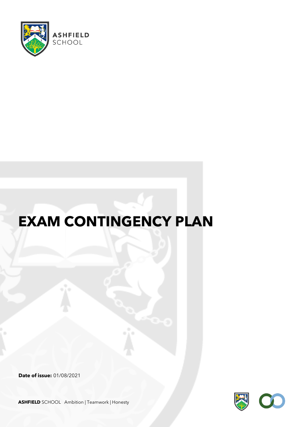

# **EXAM CONTINGENCY PLAN**

**Date of issue:** 01/08/2021



**ASHFIELD** SCHOOL Ambition | Teamwork | Honesty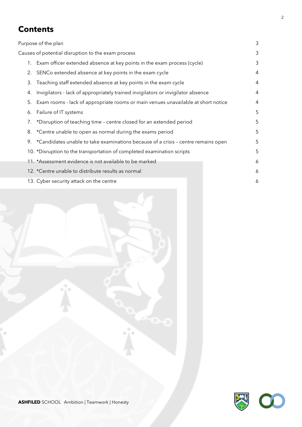# **Contents**

| Purpose of the plan                                |    |                                                                                   |   |  |
|----------------------------------------------------|----|-----------------------------------------------------------------------------------|---|--|
| Causes of potential disruption to the exam process |    |                                                                                   |   |  |
|                                                    | 1. | Exam officer extended absence at key points in the exam process (cycle)           | 3 |  |
|                                                    | 2. | SENCo extended absence at key points in the exam cycle                            | 4 |  |
|                                                    | 3. | Teaching staff extended absence at key points in the exam cycle                   | 4 |  |
|                                                    | 4. | Invigilators - lack of appropriately trained invigilators or invigilator absence  | 4 |  |
|                                                    | 5. | Exam rooms - lack of appropriate rooms or main venues unavailable at short notice | 4 |  |
|                                                    | 6. | Failure of IT systems                                                             | 5 |  |
|                                                    | 7. | *Disruption of teaching time - centre closed for an extended period               | 5 |  |
|                                                    | 8. | *Centre unable to open as normal during the exams period                          | 5 |  |
|                                                    | 9. | *Candidates unable to take examinations because of a crisis - centre remains open | 5 |  |
|                                                    |    | 10. *Disruption to the transportation of completed examination scripts            | 5 |  |
|                                                    |    | 11. *Assessment evidence is not available to be marked                            | 6 |  |
|                                                    |    | 12. *Centre unable to distribute results as normal                                | 6 |  |
|                                                    |    | 13. Cyber security attack on the centre                                           | 6 |  |
|                                                    |    |                                                                                   |   |  |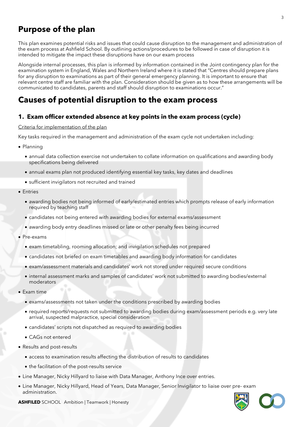# **Purpose of the plan**

This plan examines potential risks and issues that could cause disruption to the management and administration of the exam process at Ashfield School. By outlining actions/procedures to be followed in case of disruption it is intended to mitigate the impact these disruptions have on our exam process

Alongside internal processes, this plan is informed by information contained in the Joint contingency plan for the examination system in England, Wales and Northern Ireland where it is stated that "Centres should prepare plans for any disruption to examinations as part of their general emergency planning. It is important to ensure that relevant centre staff are familiar with the plan. Consideration should be given as to how these arrangements will be communicated to candidates, parents and staff should disruption to examinations occur."

# **Causes of potential disruption to the exam process**

# **1. Exam officer extended absence at key points in the exam process (cycle)**

#### Criteria for implementation of the plan

Key tasks required in the management and administration of the exam cycle not undertaken including:

- Planning
	- annual data collection exercise not undertaken to collate information on qualifications and awarding body specifications being delivered
	- annual exams plan not produced identifying essential key tasks, key dates and deadlines
	- sufficient invigilators not recruited and trained
- Entries
	- awarding bodies not being informed of early/estimated entries which prompts release of early information required by teaching staff
	- candidates not being entered with awarding bodies for external exams/assessment
	- awarding body entry deadlines missed or late or other penalty fees being incurred
- Pre-exams
	- exam timetabling, rooming allocation; and invigilation schedules not prepared
	- candidates not briefed on exam timetables and awarding body information for candidates
	- exam/assessment materials and candidates' work not stored under required secure conditions
	- internal assessment marks and samples of candidates' work not submitted to awarding bodies/external moderators
- Exam time
	- exams/assessments not taken under the conditions prescribed by awarding bodies
	- required reports/requests not submitted to awarding bodies during exam/assessment periods e.g. very late arrival, suspected malpractice, special consideration
	- candidates' scripts not dispatched as required to awarding bodies
	- CAGs not entered
- Results and post-results
	- access to examination results affecting the distribution of results to candidates
	- the facilitation of the post-results service
- Line Manager, Nicky Hillyard to liaise with Data Manager, Anthony Ince over entries.
- Line Manager, Nicky Hillyard, Head of Years, Data Manager, Senior Invigilator to liaise over pre- exam administration.



**ASHFILED** SCHOOL Ambition | Teamwork | Honesty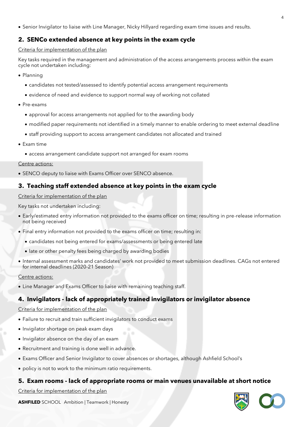• Senior Invigilator to liaise with Line Manager, Nicky Hillyard regarding exam time issues and results.

# **2. SENCo extended absence at key points in the exam cycle**

#### Criteria for implementation of the plan

Key tasks required in the management and administration of the access arrangements process within the exam cycle not undertaken including:

- Planning
	- candidates not tested/assessed to identify potential access arrangement requirements
	- evidence of need and evidence to support normal way of working not collated
- Pre-exams
	- approval for access arrangements not applied for to the awarding body
	- modified paper requirements not identified in a timely manner to enable ordering to meet external deadline
	- staff providing support to access arrangement candidates not allocated and trained
- Exam time
	- access arrangement candidate support not arranged for exam rooms

#### Centre actions:

• SENCO deputy to liaise with Exams Officer over SENCO absence.

# **3. Teaching staff extended absence at key points in the exam cycle**

#### Criteria for implementation of the plan

Key tasks not undertaken including:

- Early/estimated entry information not provided to the exams officer on time; resulting in pre-release information not being received
- Final entry information not provided to the exams officer on time; resulting in:
	- candidates not being entered for exams/assessments or being entered late
	- late or other penalty fees being charged by awarding bodies
- Internal assessment marks and candidates' work not provided to meet submission deadlines. CAGs not entered for internal deadlines (2020-21 Season)

#### Centre actions:

• Line Manager and Exams Officer to liaise with remaining teaching staff.

# **4. Invigilators - lack of appropriately trained invigilators or invigilator absence**

#### Criteria for implementation of the plan

- Failure to recruit and train sufficient invigilators to conduct exams
- Invigilator shortage on peak exam days
- Invigilator absence on the day of an exam
- Recruitment and training is done well in advance.
- Exams Officer and Senior Invigilator to cover absences or shortages, although Ashfield School's
- policy is not to work to the minimum ratio requirements.

# **5. Exam rooms - lack of appropriate rooms or main venues unavailable at short notice**

Criteria for implementation of the plan

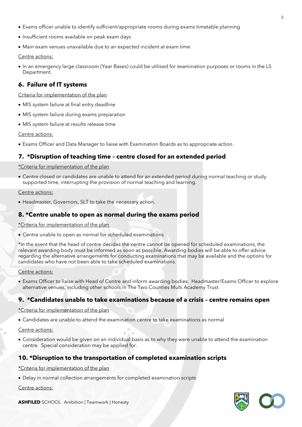- Exams officer unable to identify sufficient/appropriate rooms during exams timetable planning
- Insufficient rooms available on peak exam days
- Main exam venues unavailable due to an expected incident at exam time

#### Centre actions:

• In an emergency large classroom (Year Bases) could be utilised for examination purposes or rooms in the LS Department.

# **6. Failure of IT systems**

Criteria for implementation of the plan

- MIS system failure at final entry deadline
- MIS system failure during exams preparation
- MIS system failure at results release time

Centre actions:

• Exams Officer and Data Manager to liaise with Examination Boards as to appropriate action.

# **7. \*Disruption of teaching time – centre closed for an extended period**

\*Criteria for implementation of the plan

• Centre closed or candidates are unable to attend for an extended period during normal teaching or study supported time, interrupting the provision of normal teaching and learning.

#### Centre actions:

• Headmaster, Governors, SLT to take the necessary action.

# **8. \*Centre unable to open as normal during the exams period**

\*Criteria for implementation of the plan

• Centre unable to open as normal for scheduled examinations

\*In the event that the head of centre decides the centre cannot be opened for scheduled examinations, the relevant awarding body must be informed as soon as possible. Awarding bodies will be able to offer advice regarding the alternative arrangements for conducting examinations that may be available and the options for candidates who have not been able to take scheduled examinations.

#### Centre actions:

• Exams Officer to liaise with Head of Centre and inform awarding bodies. Headmaster/Exams Officer to explore alternative venues, including other schools in The Two Counties Multi Academy Trust

# **9. \*Candidates unable to take examinations because of a crisis – centre remains open**

\*Criteria for implementation of the plan

• Candidates are unable to attend the examination centre to take examinations as normal

Centre actions:

• Consideration would be given on an individual basis as to why they were unable to attend the examination centre. Special consideration may be applied for.

# **10. \*Disruption to the transportation of completed examination scripts**

\*Criteria for implementation of the plan

• Delay in normal collection arrangements for completed examination scripts

Centre actions:

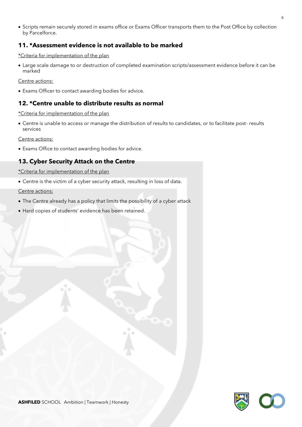• Scripts remain securely stored in exams office or Exams Officer transports them to the Post Office by collection by Parcelforce.

# **11. \*Assessment evidence is not available to be marked**

\*Criteria for implementation of the plan

• Large scale damage to or destruction of completed examination scripts/assessment evidence before it can be marked

Centre actions:

• Exams Officer to contact awarding bodies for advice.

# **12. \*Centre unable to distribute results as normal**

\*Criteria for implementation of the plan

• Centre is unable to access or manage the distribution of results to candidates, or to facilitate post- results services

Centre actions:

• Exams Office to contact awarding bodies for advice.

# **13. Cyber Security Attack on the Centre**

\*Criteria for implementation of the plan

• Centre is the victim of a cyber security attack, resulting in loss of data.

Centre actions:

- The Centre already has a policy that limits the possibility of a cyber attack
- Hard copies of students' evidence has been retained.